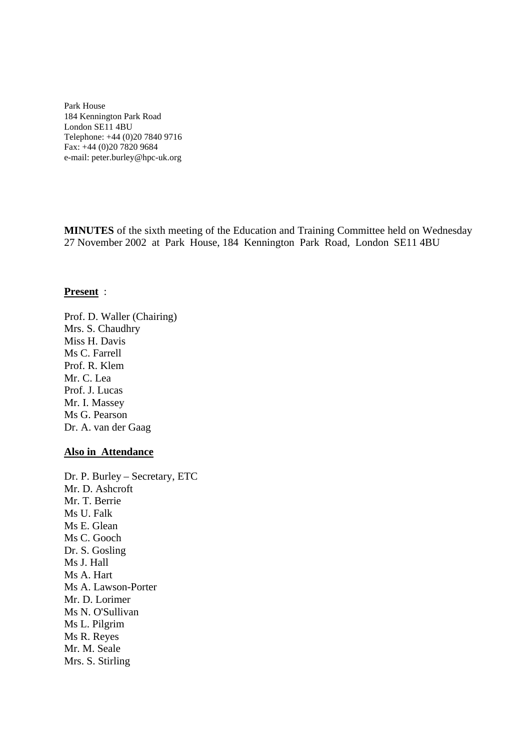Park House 184 Kennington Park Road London SE11 4BU Telephone: +44 (0)20 7840 9716 Fax: +44 (0)20 7820 9684 e-mail: peter.burley@hpc-uk.org

**MINUTES** of the sixth meeting of the Education and Training Committee held on Wednesday 27 November 2002 at Park House, 184 Kennington Park Road, London SE11 4BU

#### **Present** :

Prof. D. Waller (Chairing) Mrs. S. Chaudhry Miss H. Davis Ms C. Farrell Prof. R. Klem Mr. C. Lea Prof. J. Lucas Mr. I. Massey Ms G. Pearson Dr. A. van der Gaag

#### **Also in Attendance**

Dr. P. Burley – Secretary, ETC Mr. D. Ashcroft Mr. T. Berrie Ms U. Falk Ms E. Glean Ms C. Gooch Dr. S. Gosling Ms J. Hall Ms A. Hart Ms A. Lawson-Porter Mr. D. Lorimer Ms N. O'Sullivan Ms L. Pilgrim Ms R. Reyes Mr. M. Seale Mrs. S. Stirling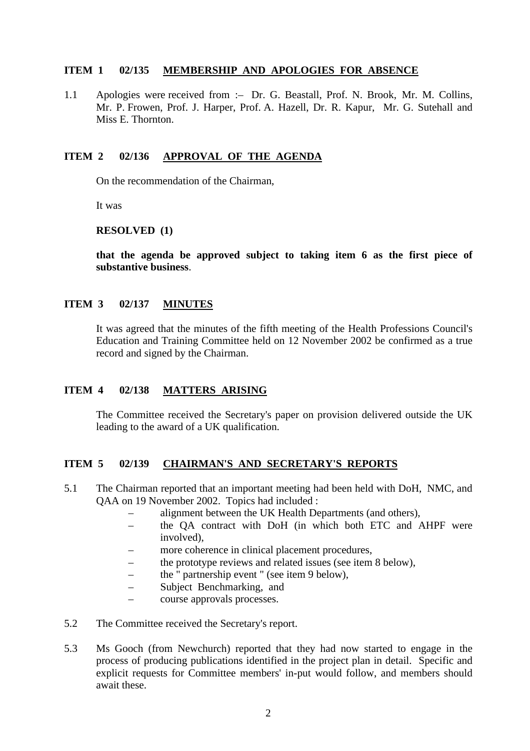#### **ITEM 1 02/135 MEMBERSHIP AND APOLOGIES FOR ABSENCE**

1.1 Apologies were received from :– Dr. G. Beastall, Prof. N. Brook, Mr. M. Collins, Mr. P. Frowen, Prof. J. Harper, Prof. A. Hazell, Dr. R. Kapur, Mr. G. Sutehall and Miss E. Thornton.

#### **ITEM 2 02/136 APPROVAL OF THE AGENDA**

On the recommendation of the Chairman,

It was

#### **RESOLVED (1)**

**that the agenda be approved subject to taking item 6 as the first piece of substantive business**.

### **ITEM 3 02/137 MINUTES**

It was agreed that the minutes of the fifth meeting of the Health Professions Council's Education and Training Committee held on 12 November 2002 be confirmed as a true record and signed by the Chairman.

## **ITEM 4 02/138 MATTERS ARISING**

The Committee received the Secretary's paper on provision delivered outside the UK leading to the award of a UK qualification.

## **ITEM 5 02/139 CHAIRMAN'S AND SECRETARY'S REPORTS**

- 5.1 The Chairman reported that an important meeting had been held with DoH, NMC, and QAA on 19 November 2002. Topics had included :
	- alignment between the UK Health Departments (and others),
	- the QA contract with DoH (in which both ETC and AHPF were involved),
	- more coherence in clinical placement procedures,
	- the prototype reviews and related issues (see item 8 below),
	- the " partnership event " (see item 9 below),
	- Subject Benchmarking, and
	- course approvals processes.
- 5.2 The Committee received the Secretary's report.
- 5.3 Ms Gooch (from Newchurch) reported that they had now started to engage in the process of producing publications identified in the project plan in detail. Specific and explicit requests for Committee members' in-put would follow, and members should await these.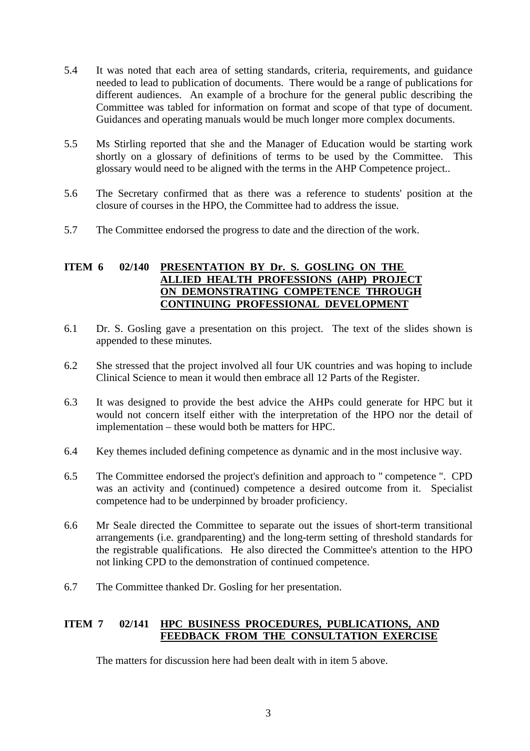- 5.4 It was noted that each area of setting standards, criteria, requirements, and guidance needed to lead to publication of documents. There would be a range of publications for different audiences. An example of a brochure for the general public describing the Committee was tabled for information on format and scope of that type of document. Guidances and operating manuals would be much longer more complex documents.
- 5.5 Ms Stirling reported that she and the Manager of Education would be starting work shortly on a glossary of definitions of terms to be used by the Committee. This glossary would need to be aligned with the terms in the AHP Competence project..
- 5.6 The Secretary confirmed that as there was a reference to students' position at the closure of courses in the HPO, the Committee had to address the issue.
- 5.7 The Committee endorsed the progress to date and the direction of the work.

### **ITEM 6 02/140 PRESENTATION BY Dr. S. GOSLING ON THE ALLIED HEALTH PROFESSIONS (AHP) PROJECT ON DEMONSTRATING COMPETENCE THROUGH CONTINUING PROFESSIONAL DEVELOPMENT**

- 6.1 Dr. S. Gosling gave a presentation on this project. The text of the slides shown is appended to these minutes.
- 6.2 She stressed that the project involved all four UK countries and was hoping to include Clinical Science to mean it would then embrace all 12 Parts of the Register.
- 6.3 It was designed to provide the best advice the AHPs could generate for HPC but it would not concern itself either with the interpretation of the HPO nor the detail of implementation – these would both be matters for HPC.
- 6.4 Key themes included defining competence as dynamic and in the most inclusive way.
- 6.5 The Committee endorsed the project's definition and approach to " competence ". CPD was an activity and (continued) competence a desired outcome from it. Specialist competence had to be underpinned by broader proficiency.
- 6.6 Mr Seale directed the Committee to separate out the issues of short-term transitional arrangements (i.e. grandparenting) and the long-term setting of threshold standards for the registrable qualifications. He also directed the Committee's attention to the HPO not linking CPD to the demonstration of continued competence.
- 6.7 The Committee thanked Dr. Gosling for her presentation.

## **ITEM 7 02/141 HPC BUSINESS PROCEDURES, PUBLICATIONS, AND FEEDBACK FROM THE CONSULTATION EXERCISE**

The matters for discussion here had been dealt with in item 5 above.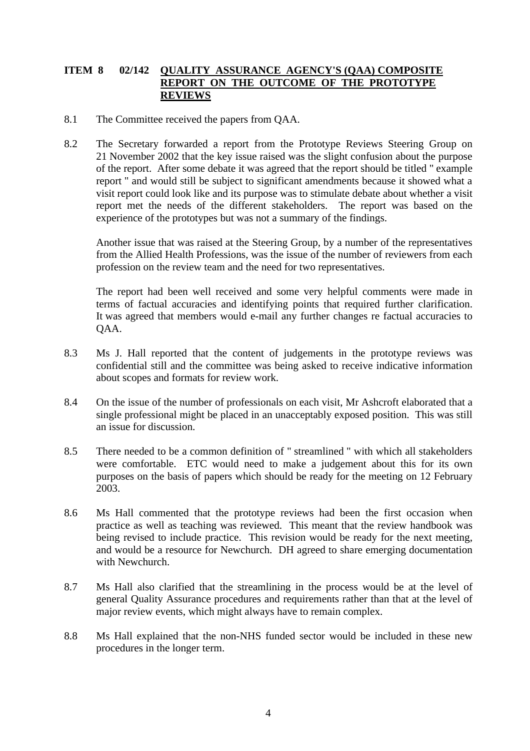## **ITEM 8 02/142 QUALITY ASSURANCE AGENCY'S (QAA) COMPOSITE REPORT ON THE OUTCOME OF THE PROTOTYPE REVIEWS**

- 8.1 The Committee received the papers from QAA.
- 8.2 The Secretary forwarded a report from the Prototype Reviews Steering Group on 21 November 2002 that the key issue raised was the slight confusion about the purpose of the report. After some debate it was agreed that the report should be titled " example report " and would still be subject to significant amendments because it showed what a visit report could look like and its purpose was to stimulate debate about whether a visit report met the needs of the different stakeholders. The report was based on the experience of the prototypes but was not a summary of the findings.

Another issue that was raised at the Steering Group, by a number of the representatives from the Allied Health Professions, was the issue of the number of reviewers from each profession on the review team and the need for two representatives.

The report had been well received and some very helpful comments were made in terms of factual accuracies and identifying points that required further clarification. It was agreed that members would e-mail any further changes re factual accuracies to QAA.

- 8.3 Ms J. Hall reported that the content of judgements in the prototype reviews was confidential still and the committee was being asked to receive indicative information about scopes and formats for review work.
- 8.4 On the issue of the number of professionals on each visit, Mr Ashcroft elaborated that a single professional might be placed in an unacceptably exposed position. This was still an issue for discussion.
- 8.5 There needed to be a common definition of " streamlined " with which all stakeholders were comfortable. ETC would need to make a judgement about this for its own purposes on the basis of papers which should be ready for the meeting on 12 February 2003.
- 8.6 Ms Hall commented that the prototype reviews had been the first occasion when practice as well as teaching was reviewed. This meant that the review handbook was being revised to include practice. This revision would be ready for the next meeting, and would be a resource for Newchurch. DH agreed to share emerging documentation with Newchurch.
- 8.7 Ms Hall also clarified that the streamlining in the process would be at the level of general Quality Assurance procedures and requirements rather than that at the level of major review events, which might always have to remain complex.
- 8.8 Ms Hall explained that the non-NHS funded sector would be included in these new procedures in the longer term.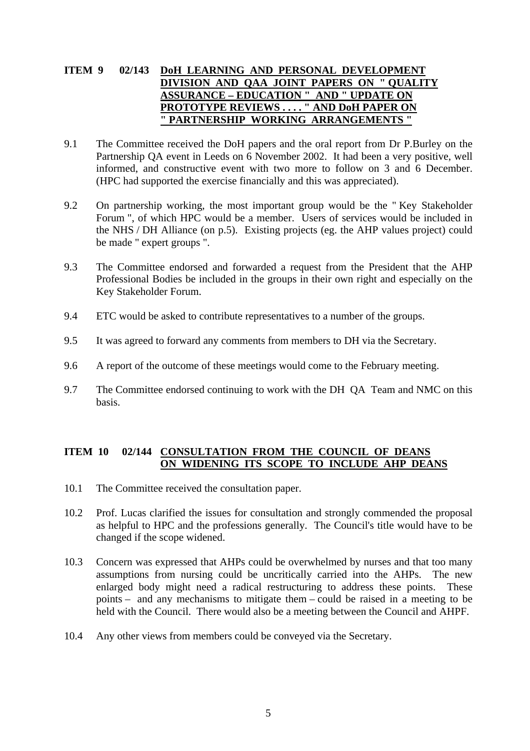# **ITEM 9 02/143 DoH LEARNING AND PERSONAL DEVELOPMENT DIVISION AND QAA JOINT PAPERS ON " QUALITY ASSURANCE – EDUCATION " AND " UPDATE ON PROTOTYPE REVIEWS . . . . " AND DoH PAPER ON " PARTNERSHIP WORKING ARRANGEMENTS "**

- 9.1 The Committee received the DoH papers and the oral report from Dr P.Burley on the Partnership QA event in Leeds on 6 November 2002. It had been a very positive, well informed, and constructive event with two more to follow on 3 and 6 December. (HPC had supported the exercise financially and this was appreciated).
- 9.2 On partnership working, the most important group would be the " Key Stakeholder Forum ", of which HPC would be a member. Users of services would be included in the NHS / DH Alliance (on p.5). Existing projects (eg. the AHP values project) could be made " expert groups ".
- 9.3 The Committee endorsed and forwarded a request from the President that the AHP Professional Bodies be included in the groups in their own right and especially on the Key Stakeholder Forum.
- 9.4 ETC would be asked to contribute representatives to a number of the groups.
- 9.5 It was agreed to forward any comments from members to DH via the Secretary.
- 9.6 A report of the outcome of these meetings would come to the February meeting.
- 9.7 The Committee endorsed continuing to work with the DH QA Team and NMC on this basis.

## **ITEM 10 02/144 CONSULTATION FROM THE COUNCIL OF DEANS ON WIDENING ITS SCOPE TO INCLUDE AHP DEANS**

- 10.1 The Committee received the consultation paper.
- 10.2 Prof. Lucas clarified the issues for consultation and strongly commended the proposal as helpful to HPC and the professions generally. The Council's title would have to be changed if the scope widened.
- 10.3 Concern was expressed that AHPs could be overwhelmed by nurses and that too many assumptions from nursing could be uncritically carried into the AHPs. The new enlarged body might need a radical restructuring to address these points. These points – and any mechanisms to mitigate them – could be raised in a meeting to be held with the Council. There would also be a meeting between the Council and AHPF.
- 10.4 Any other views from members could be conveyed via the Secretary.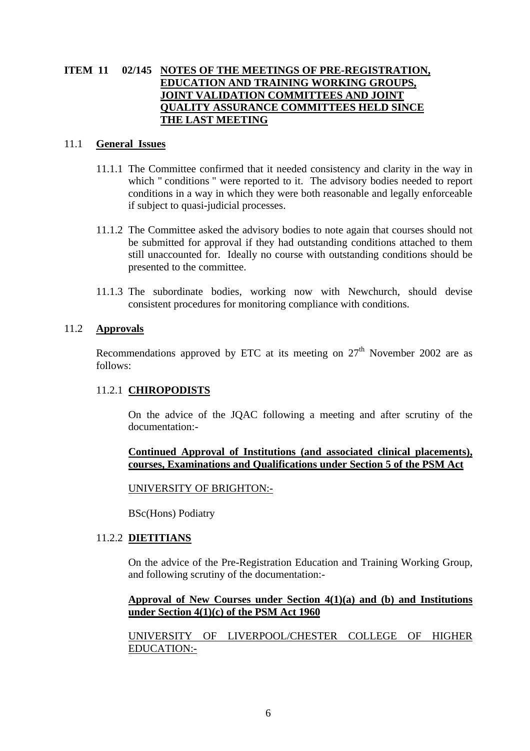## **ITEM 11 02/145 NOTES OF THE MEETINGS OF PRE-REGISTRATION, EDUCATION AND TRAINING WORKING GROUPS, JOINT VALIDATION COMMITTEES AND JOINT QUALITY ASSURANCE COMMITTEES HELD SINCE THE LAST MEETING**

#### 11.1 **General Issues**

- 11.1.1 The Committee confirmed that it needed consistency and clarity in the way in which " conditions " were reported to it. The advisory bodies needed to report conditions in a way in which they were both reasonable and legally enforceable if subject to quasi-judicial processes.
- 11.1.2 The Committee asked the advisory bodies to note again that courses should not be submitted for approval if they had outstanding conditions attached to them still unaccounted for. Ideally no course with outstanding conditions should be presented to the committee.
- 11.1.3 The subordinate bodies, working now with Newchurch, should devise consistent procedures for monitoring compliance with conditions.

### 11.2 **Approvals**

Recommendations approved by ETC at its meeting on  $27<sup>th</sup>$  November 2002 are as follows:

## 11.2.1 **CHIROPODISTS**

On the advice of the JQAC following a meeting and after scrutiny of the documentation:-

### **Continued Approval of Institutions (and associated clinical placements), courses, Examinations and Qualifications under Section 5 of the PSM Act**

#### UNIVERSITY OF BRIGHTON:-

BSc(Hons) Podiatry

## 11.2.2 **DIETITIANS**

On the advice of the Pre-Registration Education and Training Working Group, and following scrutiny of the documentation:-

### **Approval of New Courses under Section 4(1)(a) and (b) and Institutions under Section 4(1)(c) of the PSM Act 1960**

UNIVERSITY OF LIVERPOOL/CHESTER COLLEGE OF HIGHER EDUCATION:-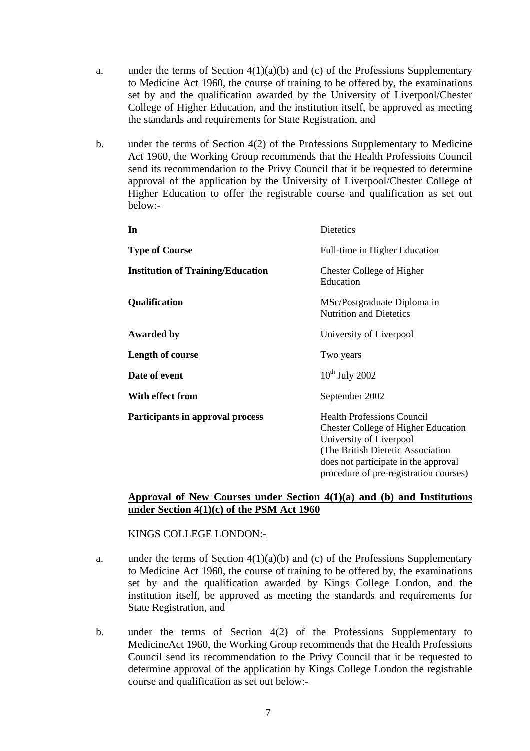- a. under the terms of Section  $4(1)(a)(b)$  and (c) of the Professions Supplementary to Medicine Act 1960, the course of training to be offered by, the examinations set by and the qualification awarded by the University of Liverpool/Chester College of Higher Education, and the institution itself, be approved as meeting the standards and requirements for State Registration, and
- b. under the terms of Section 4(2) of the Professions Supplementary to Medicine Act 1960, the Working Group recommends that the Health Professions Council send its recommendation to the Privy Council that it be requested to determine approval of the application by the University of Liverpool/Chester College of Higher Education to offer the registrable course and qualification as set out below:-

| In                                       | Dietetics                                                                                                                                                                                                                          |
|------------------------------------------|------------------------------------------------------------------------------------------------------------------------------------------------------------------------------------------------------------------------------------|
| <b>Type of Course</b>                    | Full-time in Higher Education                                                                                                                                                                                                      |
| <b>Institution of Training/Education</b> | <b>Chester College of Higher</b><br>Education                                                                                                                                                                                      |
| <b>Qualification</b>                     | MSc/Postgraduate Diploma in<br><b>Nutrition and Dietetics</b>                                                                                                                                                                      |
| <b>Awarded by</b>                        | University of Liverpool                                                                                                                                                                                                            |
| Length of course                         | Two years                                                                                                                                                                                                                          |
| Date of event                            | $10^{th}$ July 2002                                                                                                                                                                                                                |
| With effect from                         | September 2002                                                                                                                                                                                                                     |
| Participants in approval process         | <b>Health Professions Council</b><br><b>Chester College of Higher Education</b><br>University of Liverpool<br>(The British Dietetic Association)<br>does not participate in the approval<br>procedure of pre-registration courses) |

### **Approval of New Courses under Section 4(1)(a) and (b) and Institutions under Section 4(1)(c) of the PSM Act 1960**

#### KINGS COLLEGE LONDON:-

- a. under the terms of Section  $4(1)(a)(b)$  and (c) of the Professions Supplementary to Medicine Act 1960, the course of training to be offered by, the examinations set by and the qualification awarded by Kings College London, and the institution itself, be approved as meeting the standards and requirements for State Registration, and
- b. under the terms of Section 4(2) of the Professions Supplementary to MedicineAct 1960, the Working Group recommends that the Health Professions Council send its recommendation to the Privy Council that it be requested to determine approval of the application by Kings College London the registrable course and qualification as set out below:-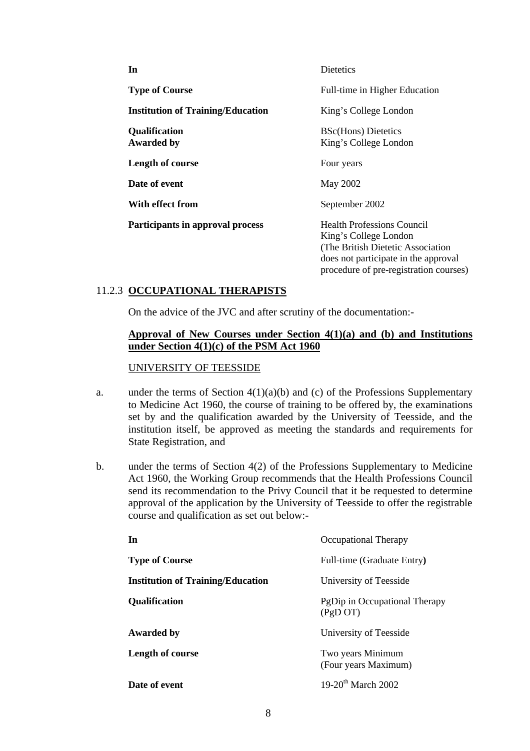| In                                        | Dietetics                                                                                                                                                                          |
|-------------------------------------------|------------------------------------------------------------------------------------------------------------------------------------------------------------------------------------|
| <b>Type of Course</b>                     | Full-time in Higher Education                                                                                                                                                      |
| <b>Institution of Training/Education</b>  | King's College London                                                                                                                                                              |
| <b>Qualification</b><br><b>Awarded by</b> | <b>BSc(Hons)</b> Dietetics<br>King's College London                                                                                                                                |
| Length of course                          | Four years                                                                                                                                                                         |
| Date of event                             | May 2002                                                                                                                                                                           |
| With effect from                          | September 2002                                                                                                                                                                     |
| Participants in approval process          | <b>Health Professions Council</b><br>King's College London<br>(The British Dietetic Association)<br>does not participate in the approval<br>procedure of pre-registration courses) |

# 11.2.3 **OCCUPATIONAL THERAPISTS**

On the advice of the JVC and after scrutiny of the documentation:-

#### **Approval of New Courses under Section 4(1)(a) and (b) and Institutions under Section 4(1)(c) of the PSM Act 1960**

#### UNIVERSITY OF TEESSIDE

- a. under the terms of Section  $4(1)(a)(b)$  and (c) of the Professions Supplementary to Medicine Act 1960, the course of training to be offered by, the examinations set by and the qualification awarded by the University of Teesside, and the institution itself, be approved as meeting the standards and requirements for State Registration, and
- b. under the terms of Section 4(2) of the Professions Supplementary to Medicine Act 1960, the Working Group recommends that the Health Professions Council send its recommendation to the Privy Council that it be requested to determine approval of the application by the University of Teesside to offer the registrable course and qualification as set out below:-

| In                                       | Occupational Therapy                       |
|------------------------------------------|--------------------------------------------|
| <b>Type of Course</b>                    | Full-time (Graduate Entry)                 |
| <b>Institution of Training/Education</b> | University of Teesside                     |
| <b>Qualification</b>                     | PgDip in Occupational Therapy<br>(PgD O T) |
| Awarded by                               | University of Teesside                     |
| <b>Length of course</b>                  | Two years Minimum<br>(Four years Maximum)  |
| Date of event                            | 19-20 <sup>th</sup> March 2002             |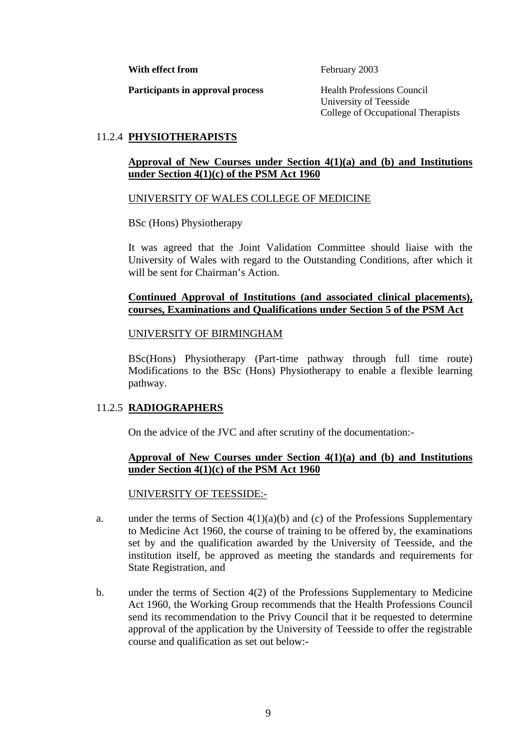**With effect from** February 2003

**Participants in approval process** Health Professions Council

University of Teesside College of Occupational Therapists

# 11.2.4 **PHYSIOTHERAPISTS**

## **Approval of New Courses under Section 4(1)(a) and (b) and Institutions under Section 4(1)(c) of the PSM Act 1960**

## UNIVERSITY OF WALES COLLEGE OF MEDICINE

BSc (Hons) Physiotherapy

It was agreed that the Joint Validation Committee should liaise with the University of Wales with regard to the Outstanding Conditions, after which it will be sent for Chairman's Action.

### **Continued Approval of Institutions (and associated clinical placements), courses, Examinations and Qualifications under Section 5 of the PSM Act**

### UNIVERSITY OF BIRMINGHAM

BSc(Hons) Physiotherapy (Part-time pathway through full time route) Modifications to the BSc (Hons) Physiotherapy to enable a flexible learning pathway.

## 11.2.5 **RADIOGRAPHERS**

On the advice of the JVC and after scrutiny of the documentation:-

### **Approval of New Courses under Section 4(1)(a) and (b) and Institutions under Section 4(1)(c) of the PSM Act 1960**

## UNIVERSITY OF TEESSIDE:-

- a. under the terms of Section  $4(1)(a)(b)$  and (c) of the Professions Supplementary to Medicine Act 1960, the course of training to be offered by, the examinations set by and the qualification awarded by the University of Teesside, and the institution itself, be approved as meeting the standards and requirements for State Registration, and
- b. under the terms of Section 4(2) of the Professions Supplementary to Medicine Act 1960, the Working Group recommends that the Health Professions Council send its recommendation to the Privy Council that it be requested to determine approval of the application by the University of Teesside to offer the registrable course and qualification as set out below:-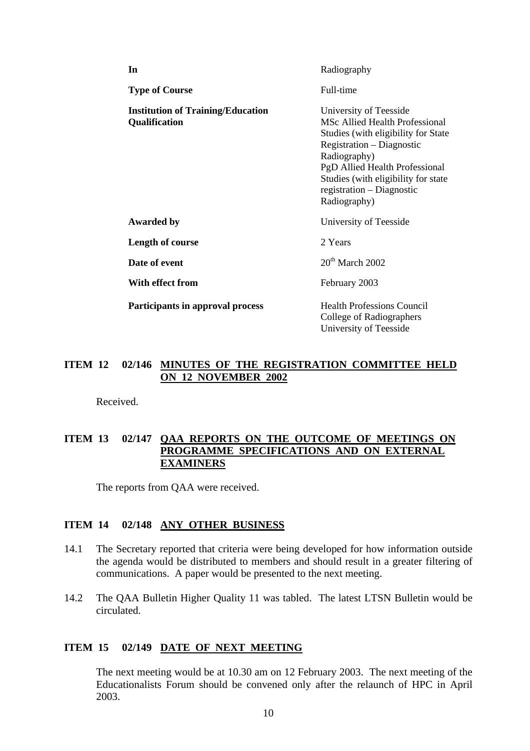| In                                                               | Radiography                                                                                                                                                                                                                                                               |
|------------------------------------------------------------------|---------------------------------------------------------------------------------------------------------------------------------------------------------------------------------------------------------------------------------------------------------------------------|
| <b>Type of Course</b>                                            | Full-time                                                                                                                                                                                                                                                                 |
| <b>Institution of Training/Education</b><br><b>Qualification</b> | University of Teesside<br><b>MSc Allied Health Professional</b><br>Studies (with eligibility for State<br>Registration – Diagnostic<br>Radiography)<br>PgD Allied Health Professional<br>Studies (with eligibility for state<br>registration – Diagnostic<br>Radiography) |
| <b>Awarded by</b>                                                | University of Teesside                                                                                                                                                                                                                                                    |
| Length of course                                                 | 2 Years                                                                                                                                                                                                                                                                   |
| Date of event                                                    | $20th$ March 2002                                                                                                                                                                                                                                                         |
| With effect from                                                 | February 2003                                                                                                                                                                                                                                                             |
| Participants in approval process                                 | <b>Health Professions Council</b><br>College of Radiographers<br>University of Teesside                                                                                                                                                                                   |

#### **ITEM 12 02/146 MINUTES OF THE REGISTRATION COMMITTEE HELD ON 12 NOVEMBER 2002**

Received.

## **ITEM 13 02/147 QAA REPORTS ON THE OUTCOME OF MEETINGS ON PROGRAMME SPECIFICATIONS AND ON EXTERNAL EXAMINERS**

The reports from QAA were received.

### **ITEM 14 02/148 ANY OTHER BUSINESS**

- 14.1 The Secretary reported that criteria were being developed for how information outside the agenda would be distributed to members and should result in a greater filtering of communications. A paper would be presented to the next meeting.
- 14.2 The QAA Bulletin Higher Quality 11 was tabled. The latest LTSN Bulletin would be circulated.

#### **ITEM 15 02/149 DATE OF NEXT MEETING**

The next meeting would be at 10.30 am on 12 February 2003. The next meeting of the Educationalists Forum should be convened only after the relaunch of HPC in April 2003.